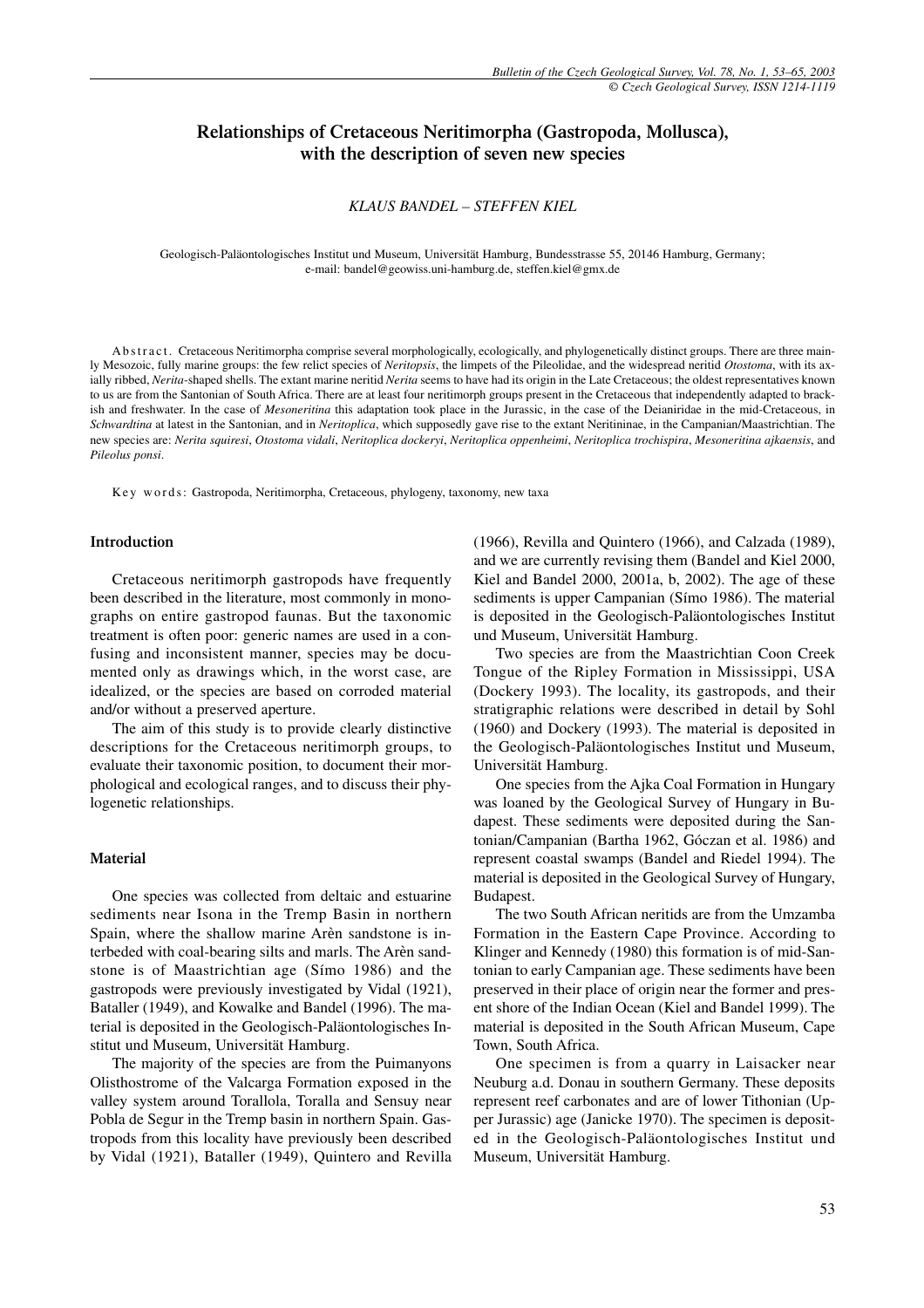# **Relationships of Cretaceous Neritimorpha (Gastropoda, Mollusca), with the description of seven new species**

# *KLAUS BANDEL – STEFFEN KIEL*

Geologisch-Paläontologisches Institut und Museum, Universität Hamburg, Bundesstrasse 55, 20146 Hamburg, Germany; e-mail: bandel@geowiss.uni-hamburg.de, steffen.kiel@gmx.de

Abstract. Cretaceous Neritimorpha comprise several morphologically, ecologically, and phylogenetically distinct groups. There are three mainly Mesozoic, fully marine groups: the few relict species of *Neritopsis*, the limpets of the Pileolidae, and the widespread neritid *Otostoma*, with its axially ribbed, *Nerita*-shaped shells. The extant marine neritid *Nerita* seems to have had its origin in the Late Cretaceous; the oldest representatives known to us are from the Santonian of South Africa. There are at least four neritimorph groups present in the Cretaceous that independently adapted to brackish and freshwater. In the case of *Mesoneritina* this adaptation took place in the Jurassic, in the case of the Deianiridae in the mid-Cretaceous, in *Schwardtina* at latest in the Santonian, and in *Neritoplica*, which supposedly gave rise to the extant Neritininae, in the Campanian/Maastrichtian. The new species are: *Nerita squiresi*, *Otostoma vidali*, *Neritoplica dockeryi*, *Neritoplica oppenheimi*, *Neritoplica trochispira*, *Mesoneritina ajkaensis*, and *Pileolus ponsi*.

Key words: Gastropoda, Neritimorpha, Cretaceous, phylogeny, taxonomy, new taxa

### **Introduction**

Cretaceous neritimorph gastropods have frequently been described in the literature, most commonly in monographs on entire gastropod faunas. But the taxonomic treatment is often poor: generic names are used in a confusing and inconsistent manner, species may be documented only as drawings which, in the worst case, are idealized, or the species are based on corroded material and/or without a preserved aperture.

The aim of this study is to provide clearly distinctive descriptions for the Cretaceous neritimorph groups, to evaluate their taxonomic position, to document their morphological and ecological ranges, and to discuss their phylogenetic relationships.

#### **Material**

One species was collected from deltaic and estuarine sediments near Isona in the Tremp Basin in northern Spain, where the shallow marine Arèn sandstone is interbeded with coal-bearing silts and marls. The Arèn sandstone is of Maastrichtian age (Símo 1986) and the gastropods were previously investigated by Vidal (1921), Bataller (1949), and Kowalke and Bandel (1996). The material is deposited in the Geologisch-Paläontologisches Institut und Museum, Universität Hamburg.

The majority of the species are from the Puimanyons Olisthostrome of the Valcarga Formation exposed in the valley system around Torallola, Toralla and Sensuy near Pobla de Segur in the Tremp basin in northern Spain. Gastropods from this locality have previously been described by Vidal (1921), Bataller (1949), Quintero and Revilla (1966), Revilla and Quintero (1966), and Calzada (1989), and we are currently revising them (Bandel and Kiel 2000, Kiel and Bandel 2000, 2001a, b, 2002). The age of these sediments is upper Campanian (Símo 1986). The material is deposited in the Geologisch-Paläontologisches Institut und Museum, Universität Hamburg.

Two species are from the Maastrichtian Coon Creek Tongue of the Ripley Formation in Mississippi, USA (Dockery 1993). The locality, its gastropods, and their stratigraphic relations were described in detail by Sohl (1960) and Dockery (1993). The material is deposited in the Geologisch-Paläontologisches Institut und Museum, Universität Hamburg.

One species from the Ajka Coal Formation in Hungary was loaned by the Geological Survey of Hungary in Budapest. These sediments were deposited during the Santonian/Campanian (Bartha 1962, Góczan et al. 1986) and represent coastal swamps (Bandel and Riedel 1994). The material is deposited in the Geological Survey of Hungary, Budapest.

The two South African neritids are from the Umzamba Formation in the Eastern Cape Province. According to Klinger and Kennedy (1980) this formation is of mid-Santonian to early Campanian age. These sediments have been preserved in their place of origin near the former and present shore of the Indian Ocean (Kiel and Bandel 1999). The material is deposited in the South African Museum, Cape Town, South Africa.

One specimen is from a quarry in Laisacker near Neuburg a.d. Donau in southern Germany. These deposits represent reef carbonates and are of lower Tithonian (Upper Jurassic) age (Janicke 1970). The specimen is deposited in the Geologisch-Paläontologisches Institut und Museum, Universität Hamburg.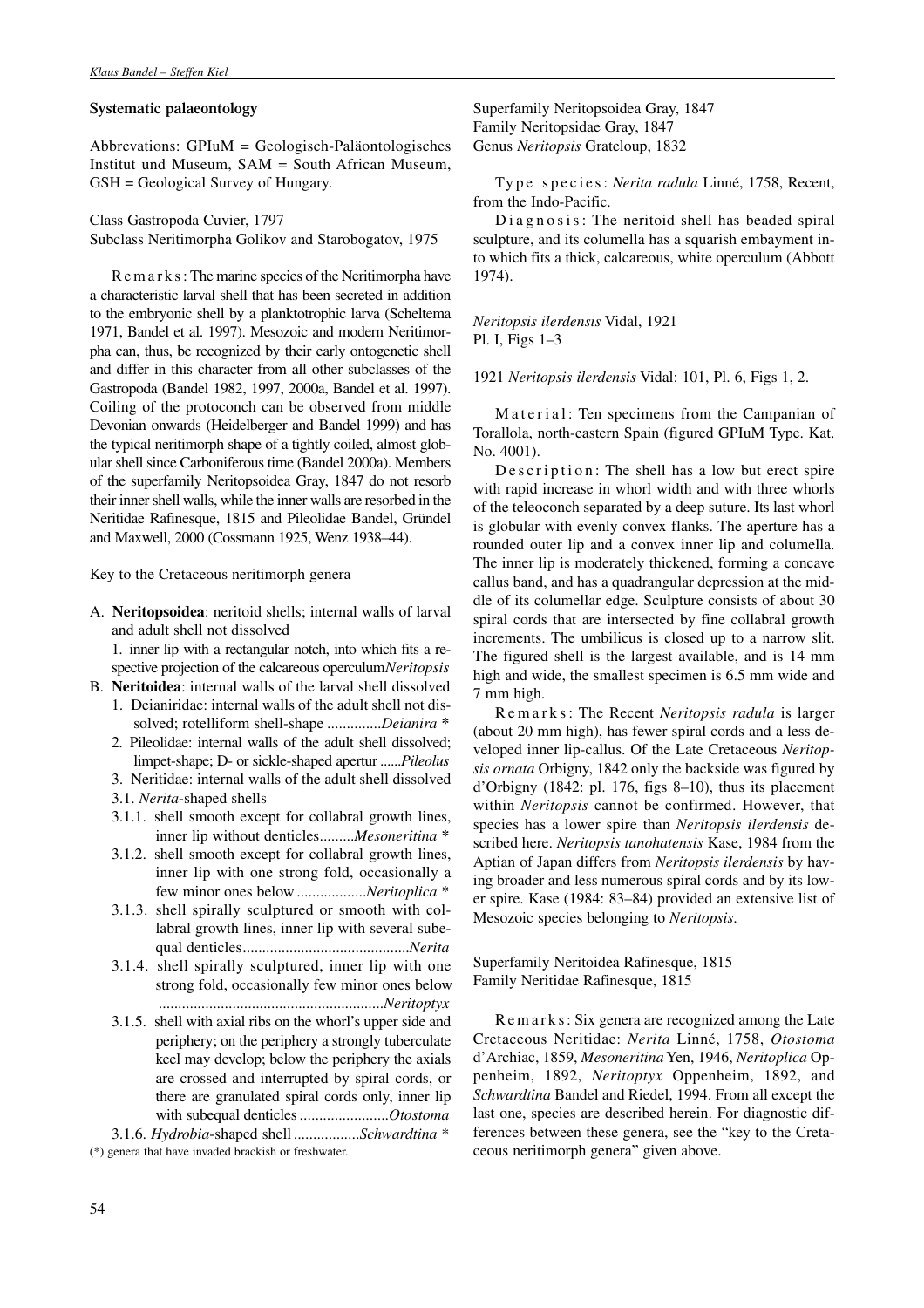# **Systematic palaeontology**

Abbrevations: GPIuM = Geologisch-Paläontologisches Institut und Museum, SAM = South African Museum, GSH = Geological Survey of Hungary.

Class Gastropoda Cuvier, 1797 Subclass Neritimorpha Golikov and Starobogatov, 1975

Remarks: The marine species of the Neritimorpha have a characteristic larval shell that has been secreted in addition to the embryonic shell by a planktotrophic larva (Scheltema 1971, Bandel et al. 1997). Mesozoic and modern Neritimorpha can, thus, be recognized by their early ontogenetic shell and differ in this character from all other subclasses of the Gastropoda (Bandel 1982, 1997, 2000a, Bandel et al. 1997). Coiling of the protoconch can be observed from middle Devonian onwards (Heidelberger and Bandel 1999) and has the typical neritimorph shape of a tightly coiled, almost globular shell since Carboniferous time (Bandel 2000a). Members of the superfamily Neritopsoidea Gray, 1847 do not resorb their inner shell walls, while the inner walls are resorbed in the Neritidae Rafinesque, 1815 and Pileolidae Bandel, Gründel and Maxwell, 2000 (Cossmann 1925, Wenz 1938–44).

Key to the Cretaceous neritimorph genera

A. **Neritopsoidea**: neritoid shells; internal walls of larval and adult shell not dissolved

1. inner lip with a rectangular notch, into which fits a respective projection of the calcareous operculum*Neritopsis*

- B. **Neritoidea**: internal walls of the larval shell dissolved 1. Deianiridae: internal walls of the adult shell not dissolved; rotelliform shell-shape ..............*Deianira* **\***
	- 2. Pileolidae: internal walls of the adult shell dissolved; limpet-shape; D- or sickle-shaped apertur ......*Pileolus*
	- 3. Neritidae: internal walls of the adult shell dissolved
	- 3.1. *Nerita*-shaped shells
	- 3.1.1. shell smooth except for collabral growth lines, inner lip without denticles.........*Mesoneritina* **\***
	- 3.1.2. shell smooth except for collabral growth lines, inner lip with one strong fold, occasionally a few minor ones below ..................*Neritoplica* \*
	- 3.1.3. shell spirally sculptured or smooth with collabral growth lines, inner lip with several subequal denticles...........................................*Nerita*
	- 3.1.4. shell spirally sculptured, inner lip with one strong fold, occasionally few minor ones below ..........................................................*Neritoptyx*
	- 3.1.5. shell with axial ribs on the whorl's upper side and periphery; on the periphery a strongly tuberculate keel may develop; below the periphery the axials are crossed and interrupted by spiral cords, or there are granulated spiral cords only, inner lip with subequal denticles.......................*Otostoma*

3.1.6. *Hydrobia*-shaped shell .................*Schwardtina* \* (\*) genera that have invaded brackish or freshwater.

Superfamily Neritopsoidea Gray, 1847 Family Neritopsidae Gray, 1847 Genus *Neritopsis* Grateloup, 1832

Type species: *Nerita radula* Linné, 1758, Recent, from the Indo-Pacific.

Diagnosis: The neritoid shell has beaded spiral sculpture, and its columella has a squarish embayment into which fits a thick, calcareous, white operculum (Abbott 1974).

*Neritopsis ilerdensis* Vidal, 1921 Pl. I, Figs 1–3

1921 *Neritopsis ilerdensis* Vidal: 101, Pl. 6, Figs 1, 2.

Material: Ten specimens from the Campanian of Torallola, north-eastern Spain (figured GPIuM Type. Kat. No. 4001).

De s c ription: The shell has a low but erect spire with rapid increase in whorl width and with three whorls of the teleoconch separated by a deep suture. Its last whorl is globular with evenly convex flanks. The aperture has a rounded outer lip and a convex inner lip and columella. The inner lip is moderately thickened, forming a concave callus band, and has a quadrangular depression at the middle of its columellar edge. Sculpture consists of about 30 spiral cords that are intersected by fine collabral growth increments. The umbilicus is closed up to a narrow slit. The figured shell is the largest available, and is 14 mm high and wide, the smallest specimen is 6.5 mm wide and 7 mm high.

R e m a r k s : The Recent *Neritopsis radula* is larger (about 20 mm high), has fewer spiral cords and a less developed inner lip-callus. Of the Late Cretaceous *Neritopsis ornata* Orbigny, 1842 only the backside was figured by d'Orbigny (1842: pl. 176, figs 8–10), thus its placement within *Neritopsis* cannot be confirmed. However, that species has a lower spire than *Neritopsis ilerdensis* described here. *Neritopsis tanohatensis* Kase, 1984 from the Aptian of Japan differs from *Neritopsis ilerdensis* by having broader and less numerous spiral cords and by its lower spire. Kase (1984: 83–84) provided an extensive list of Mesozoic species belonging to *Neritopsis*.

Superfamily Neritoidea Rafinesque, 1815 Family Neritidae Rafinesque, 1815

R e m a r k s : Six genera are recognized among the Late Cretaceous Neritidae: *Nerita* Linné, 1758, *Otostoma* d'Archiac, 1859, *Mesoneritina*Yen, 1946, *Neritoplica* Oppenheim, 1892, *Neritoptyx* Oppenheim, 1892, and *Schwardtina* Bandel and Riedel, 1994. From all except the last one, species are described herein. For diagnostic differences between these genera, see the "key to the Cretaceous neritimorph genera" given above.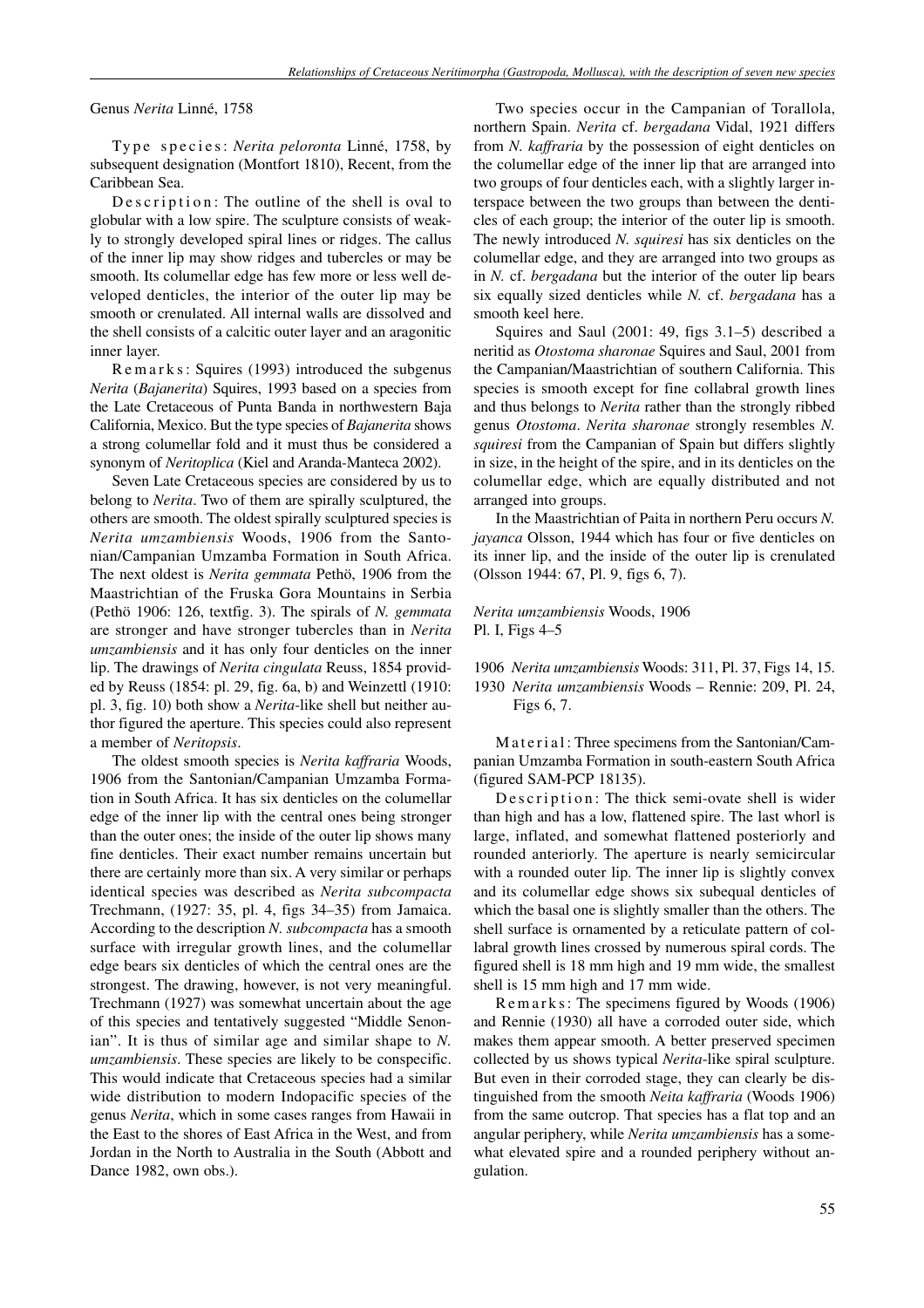Genus *Nerita* Linné, 1758

Type species: *Nerita peloronta* Linné, 1758, by subsequent designation (Montfort 1810), Recent, from the Caribbean Sea.

De scription: The outline of the shell is oval to globular with a low spire. The sculpture consists of weakly to strongly developed spiral lines or ridges. The callus of the inner lip may show ridges and tubercles or may be smooth. Its columellar edge has few more or less well developed denticles, the interior of the outer lip may be smooth or crenulated. All internal walls are dissolved and the shell consists of a calcitic outer layer and an aragonitic inner layer.

R e m a r k s : Squires (1993) introduced the subgenus *Nerita* (*Bajanerita*) Squires, 1993 based on a species from the Late Cretaceous of Punta Banda in northwestern Baja California, Mexico. But the type species of *Bajanerita* shows a strong columellar fold and it must thus be considered a synonym of *Neritoplica* (Kiel and Aranda-Manteca 2002).

Seven Late Cretaceous species are considered by us to belong to *Nerita*. Two of them are spirally sculptured, the others are smooth. The oldest spirally sculptured species is *Nerita umzambiensis* Woods, 1906 from the Santonian/Campanian Umzamba Formation in South Africa. The next oldest is *Nerita gemmata* Pethö, 1906 from the Maastrichtian of the Fruska Gora Mountains in Serbia (Pethö 1906: 126, textfig. 3). The spirals of *N. gemmata* are stronger and have stronger tubercles than in *Nerita umzambiensis* and it has only four denticles on the inner lip. The drawings of *Nerita cingulata* Reuss, 1854 provided by Reuss (1854: pl. 29, fig. 6a, b) and Weinzettl (1910: pl. 3, fig. 10) both show a *Nerita*-like shell but neither author figured the aperture. This species could also represent a member of *Neritopsis*.

The oldest smooth species is *Nerita kaffraria* Woods, 1906 from the Santonian/Campanian Umzamba Formation in South Africa. It has six denticles on the columellar edge of the inner lip with the central ones being stronger than the outer ones; the inside of the outer lip shows many fine denticles. Their exact number remains uncertain but there are certainly more than six. A very similar or perhaps identical species was described as *Nerita subcompacta* Trechmann, (1927: 35, pl. 4, figs 34–35) from Jamaica. According to the description *N. subcompacta* has a smooth surface with irregular growth lines, and the columellar edge bears six denticles of which the central ones are the strongest. The drawing, however, is not very meaningful. Trechmann (1927) was somewhat uncertain about the age of this species and tentatively suggested "Middle Senonian". It is thus of similar age and similar shape to *N. umzambiensis*. These species are likely to be conspecific. This would indicate that Cretaceous species had a similar wide distribution to modern Indopacific species of the genus *Nerita*, which in some cases ranges from Hawaii in the East to the shores of East Africa in the West, and from Jordan in the North to Australia in the South (Abbott and Dance 1982, own obs.).

Two species occur in the Campanian of Torallola, northern Spain. *Nerita* cf. *bergadana* Vidal, 1921 differs from *N. kaffraria* by the possession of eight denticles on the columellar edge of the inner lip that are arranged into two groups of four denticles each, with a slightly larger interspace between the two groups than between the denticles of each group; the interior of the outer lip is smooth. The newly introduced *N. squiresi* has six denticles on the columellar edge, and they are arranged into two groups as in *N.* cf. *bergadana* but the interior of the outer lip bears six equally sized denticles while *N.* cf. *bergadana* has a smooth keel here.

Squires and Saul (2001: 49, figs 3.1–5) described a neritid as *Otostoma sharonae* Squires and Saul, 2001 from the Campanian/Maastrichtian of southern California. This species is smooth except for fine collabral growth lines and thus belongs to *Nerita* rather than the strongly ribbed genus *Otostoma*. *Nerita sharonae* strongly resembles *N. squiresi* from the Campanian of Spain but differs slightly in size, in the height of the spire, and in its denticles on the columellar edge, which are equally distributed and not arranged into groups.

In the Maastrichtian of Paita in northern Peru occurs *N. jayanca* Olsson, 1944 which has four or five denticles on its inner lip, and the inside of the outer lip is crenulated (Olsson 1944: 67, Pl. 9, figs 6, 7).

*Nerita umzambiensis* Woods, 1906 Pl. I, Figs 4–5

1906 *Nerita umzambiensis* Woods: 311, Pl. 37, Figs 14, 15. 1930 *Nerita umzambiensis* Woods – Rennie: 209, Pl. 24, Figs 6, 7.

Material: Three specimens from the Santonian/Campanian Umzamba Formation in south-eastern South Africa (figured SAM-PCP 18135).

Description: The thick semi-ovate shell is wider than high and has a low, flattened spire. The last whorl is large, inflated, and somewhat flattened posteriorly and rounded anteriorly. The aperture is nearly semicircular with a rounded outer lip. The inner lip is slightly convex and its columellar edge shows six subequal denticles of which the basal one is slightly smaller than the others. The shell surface is ornamented by a reticulate pattern of collabral growth lines crossed by numerous spiral cords. The figured shell is 18 mm high and 19 mm wide, the smallest shell is 15 mm high and 17 mm wide.

R e m a r k s : The specimens figured by Woods (1906) and Rennie (1930) all have a corroded outer side, which makes them appear smooth. A better preserved specimen collected by us shows typical *Nerita*-like spiral sculpture. But even in their corroded stage, they can clearly be distinguished from the smooth *Neita kaffraria* (Woods 1906) from the same outcrop. That species has a flat top and an angular periphery, while *Nerita umzambiensis* has a somewhat elevated spire and a rounded periphery without angulation.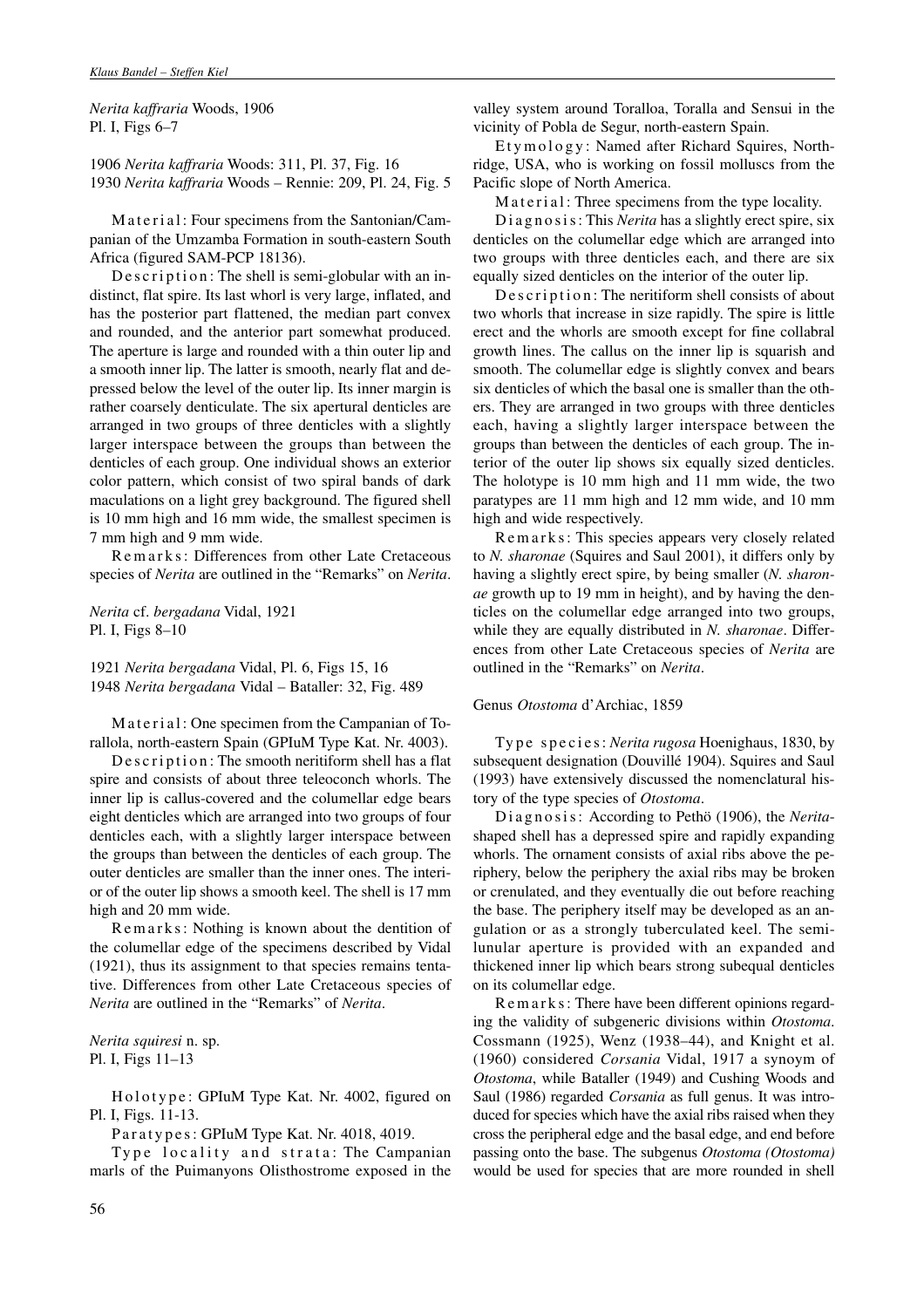*Nerita kaffraria* Woods, 1906 Pl. I, Figs 6–7

1906 *Nerita kaffraria* Woods: 311, Pl. 37, Fig. 16 1930 *Nerita kaffraria* Woods – Rennie: 209, Pl. 24, Fig. 5

Material: Four specimens from the Santonian/Campanian of the Umzamba Formation in south-eastern South Africa (figured SAM-PCP 18136).

De scription: The shell is semi-globular with an indistinct, flat spire. Its last whorl is very large, inflated, and has the posterior part flattened, the median part convex and rounded, and the anterior part somewhat produced. The aperture is large and rounded with a thin outer lip and a smooth inner lip. The latter is smooth, nearly flat and depressed below the level of the outer lip. Its inner margin is rather coarsely denticulate. The six apertural denticles are arranged in two groups of three denticles with a slightly larger interspace between the groups than between the denticles of each group. One individual shows an exterior color pattern, which consist of two spiral bands of dark maculations on a light grey background. The figured shell is 10 mm high and 16 mm wide, the smallest specimen is 7 mm high and 9 mm wide.

Remarks: Differences from other Late Cretaceous species of *Nerita* are outlined in the "Remarks" on *Nerita*.

*Nerita* cf. *bergadana* Vidal, 1921 Pl. I, Figs 8–10

1921 *Nerita bergadana* Vidal, Pl. 6, Figs 15, 16 1948 *Nerita bergadana* Vidal – Bataller: 32, Fig. 489

Material: One specimen from the Campanian of Torallola, north-eastern Spain (GPIuM Type Kat. Nr. 4003).

De scription: The smooth neritiform shell has a flat spire and consists of about three teleoconch whorls. The inner lip is callus-covered and the columellar edge bears eight denticles which are arranged into two groups of four denticles each, with a slightly larger interspace between the groups than between the denticles of each group. The outer denticles are smaller than the inner ones. The interior of the outer lip shows a smooth keel. The shell is 17 mm high and 20 mm wide.

Remarks: Nothing is known about the dentition of the columellar edge of the specimens described by Vidal (1921), thus its assignment to that species remains tentative. Differences from other Late Cretaceous species of *Nerita* are outlined in the "Remarks" of *Nerita*.

*Nerita squiresi* n. sp. Pl. I, Figs 11–13

Holotype: GPIuM Type Kat. Nr. 4002, figured on Pl. I, Figs. 11-13.

Paratypes: GPIuM Type Kat. Nr. 4018, 4019.

Type locality and strata: The Campanian marls of the Puimanyons Olisthostrome exposed in the valley system around Toralloa, Toralla and Sensui in the vicinity of Pobla de Segur, north-eastern Spain.

Etymology: Named after Richard Squires, Northridge, USA, who is working on fossil molluscs from the Pacific slope of North America.

M a t e r i a l : Three specimens from the type locality.

D i a g n o s i s : This *Nerita* has a slightly erect spire, six denticles on the columellar edge which are arranged into two groups with three denticles each, and there are six equally sized denticles on the interior of the outer lip.

Description: The neritiform shell consists of about two whorls that increase in size rapidly. The spire is little erect and the whorls are smooth except for fine collabral growth lines. The callus on the inner lip is squarish and smooth. The columellar edge is slightly convex and bears six denticles of which the basal one is smaller than the others. They are arranged in two groups with three denticles each, having a slightly larger interspace between the groups than between the denticles of each group. The interior of the outer lip shows six equally sized denticles. The holotype is 10 mm high and 11 mm wide, the two paratypes are 11 mm high and 12 mm wide, and 10 mm high and wide respectively.

R e m a r k s : This species appears very closely related to *N. sharonae* (Squires and Saul 2001), it differs only by having a slightly erect spire, by being smaller (*N. sharonae* growth up to 19 mm in height), and by having the denticles on the columellar edge arranged into two groups, while they are equally distributed in *N. sharonae*. Differences from other Late Cretaceous species of *Nerita* are outlined in the "Remarks" on *Nerita*.

# Genus *Otostoma* d'Archiac, 1859

Type species: *Nerita rugosa* Hoenighaus, 1830, by subsequent designation (Douvillé 1904). Squires and Saul (1993) have extensively discussed the nomenclatural history of the type species of *Otostoma*.

Diagnosis: According to Pethö (1906), the *Nerita*shaped shell has a depressed spire and rapidly expanding whorls. The ornament consists of axial ribs above the periphery, below the periphery the axial ribs may be broken or crenulated, and they eventually die out before reaching the base. The periphery itself may be developed as an angulation or as a strongly tuberculated keel. The semilunular aperture is provided with an expanded and thickened inner lip which bears strong subequal denticles on its columellar edge.

R e m a r k s : There have been different opinions regarding the validity of subgeneric divisions within *Otostoma*. Cossmann (1925), Wenz (1938–44), and Knight et al. (1960) considered *Corsania* Vidal, 1917 a synoym of *Otostoma*, while Bataller (1949) and Cushing Woods and Saul (1986) regarded *Corsania* as full genus. It was introduced for species which have the axial ribs raised when they cross the peripheral edge and the basal edge, and end before passing onto the base. The subgenus *Otostoma (Otostoma)* would be used for species that are more rounded in shell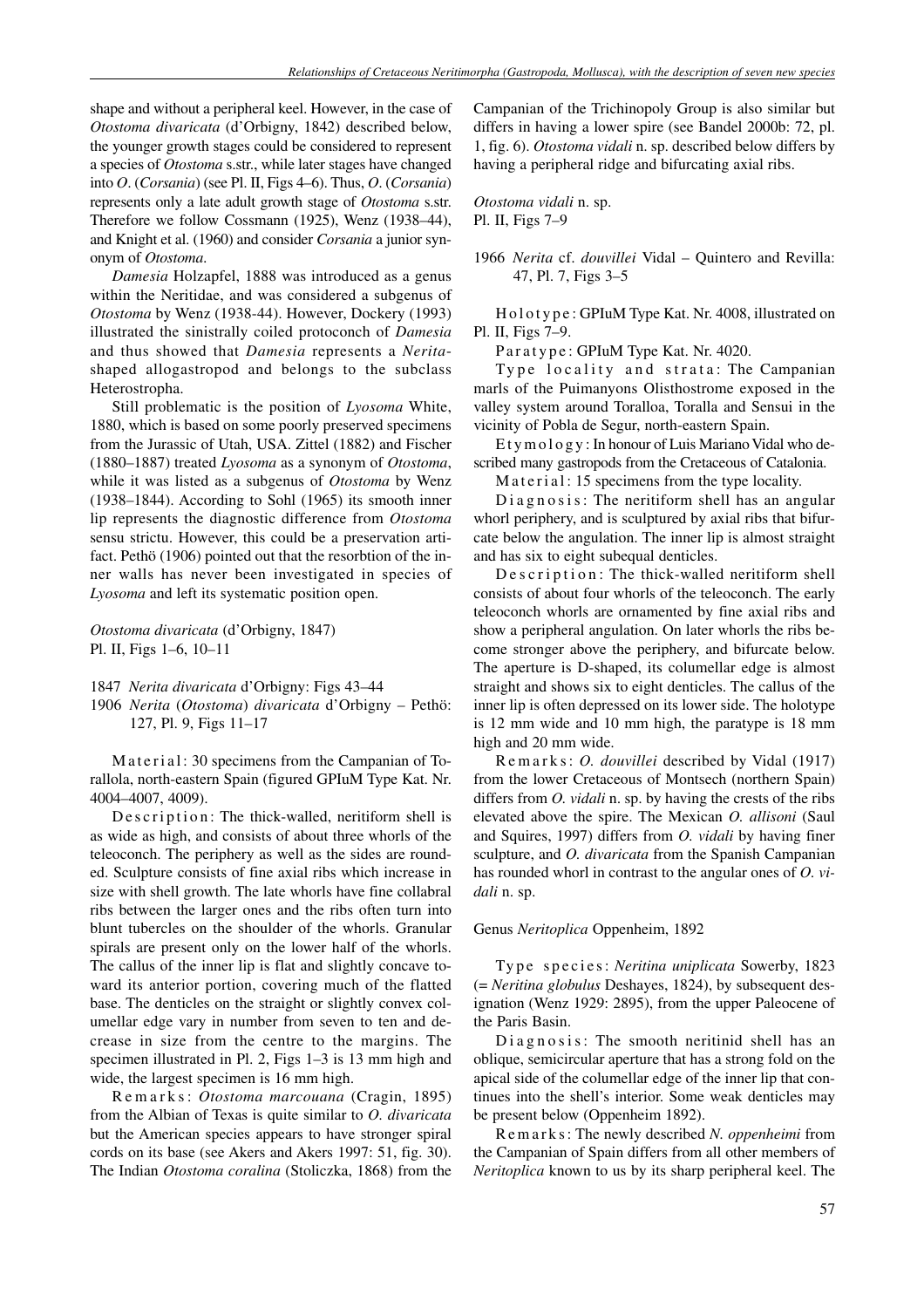shape and without a peripheral keel. However, in the case of *Otostoma divaricata* (d'Orbigny, 1842) described below, the younger growth stages could be considered to represent a species of *Otostoma* s.str., while later stages have changed into *O*. (*Corsania*) (see Pl. II, Figs 4–6). Thus, *O*. (*Corsania*) represents only a late adult growth stage of *Otostoma* s.str. Therefore we follow Cossmann (1925), Wenz (1938–44), and Knight et al. (1960) and consider *Corsania* a junior synonym of *Otostoma*.

*Damesia* Holzapfel, 1888 was introduced as a genus within the Neritidae, and was considered a subgenus of *Otostoma* by Wenz (1938-44). However, Dockery (1993) illustrated the sinistrally coiled protoconch of *Damesia* and thus showed that *Damesia* represents a *Nerita*shaped allogastropod and belongs to the subclass Heterostropha.

Still problematic is the position of *Lyosoma* White, 1880, which is based on some poorly preserved specimens from the Jurassic of Utah, USA. Zittel (1882) and Fischer (1880–1887) treated *Lyosoma* as a synonym of *Otostoma*, while it was listed as a subgenus of *Otostoma* by Wenz (1938–1844). According to Sohl (1965) its smooth inner lip represents the diagnostic difference from *Otostoma* sensu strictu. However, this could be a preservation artifact. Pethö (1906) pointed out that the resorbtion of the inner walls has never been investigated in species of *Lyosoma* and left its systematic position open.

# *Otostoma divaricata* (d'Orbigny, 1847) Pl. II, Figs 1–6, 10–11

1847 *Nerita divaricata* d'Orbigny: Figs 43–44

1906 *Nerita* (*Otostoma*) *divaricata* d'Orbigny – Pethö: 127, Pl. 9, Figs 11–17

Material: 30 specimens from the Campanian of Torallola, north-eastern Spain (figured GPIuM Type Kat. Nr. 4004–4007, 4009).

Description: The thick-walled, neritiform shell is as wide as high, and consists of about three whorls of the teleoconch. The periphery as well as the sides are rounded. Sculpture consists of fine axial ribs which increase in size with shell growth. The late whorls have fine collabral ribs between the larger ones and the ribs often turn into blunt tubercles on the shoulder of the whorls. Granular spirals are present only on the lower half of the whorls. The callus of the inner lip is flat and slightly concave toward its anterior portion, covering much of the flatted base. The denticles on the straight or slightly convex columellar edge vary in number from seven to ten and decrease in size from the centre to the margins. The specimen illustrated in Pl. 2, Figs 1–3 is 13 mm high and wide, the largest specimen is 16 mm high.

R e m a r k s : *Otostoma marcouana* (Cragin, 1895) from the Albian of Texas is quite similar to *O. divaricata* but the American species appears to have stronger spiral cords on its base (see Akers and Akers 1997: 51, fig. 30). The Indian *Otostoma coralina* (Stoliczka, 1868) from the

Campanian of the Trichinopoly Group is also similar but differs in having a lower spire (see Bandel 2000b: 72, pl. 1, fig. 6). *Otostoma vidali* n. sp. described below differs by having a peripheral ridge and bifurcating axial ribs.

*Otostoma vidali* n. sp. Pl. II, Figs 7–9

1966 *Nerita* cf. *douvillei* Vidal – Quintero and Revilla: 47, Pl. 7, Figs 3–5

H o l o t y p e : GPIuM Type Kat. Nr. 4008, illustrated on Pl. II, Figs 7–9.

Paratype: GPIuM Type Kat. Nr. 4020.

Type locality and strata: The Campanian marls of the Puimanyons Olisthostrome exposed in the valley system around Toralloa, Toralla and Sensui in the vicinity of Pobla de Segur, north-eastern Spain.

E t y m o l o g y : In honour of Luis Mariano Vidal who described many gastropods from the Cretaceous of Catalonia.

Material: 15 specimens from the type locality.

Diagnosis: The neritiform shell has an angular whorl periphery, and is sculptured by axial ribs that bifurcate below the angulation. The inner lip is almost straight and has six to eight subequal denticles.

De scription: The thick-walled neritiform shell consists of about four whorls of the teleoconch. The early teleoconch whorls are ornamented by fine axial ribs and show a peripheral angulation. On later whorls the ribs become stronger above the periphery, and bifurcate below. The aperture is D-shaped, its columellar edge is almost straight and shows six to eight denticles. The callus of the inner lip is often depressed on its lower side. The holotype is 12 mm wide and 10 mm high, the paratype is 18 mm high and 20 mm wide.

R e m a r k s : *O. douvillei* described by Vidal (1917) from the lower Cretaceous of Montsech (northern Spain) differs from *O. vidali* n. sp. by having the crests of the ribs elevated above the spire. The Mexican *O. allisoni* (Saul and Squires, 1997) differs from *O. vidali* by having finer sculpture, and *O. divaricata* from the Spanish Campanian has rounded whorl in contrast to the angular ones of *O. vidali* n. sp.

# Genus *Neritoplica* Oppenheim, 1892

Type species: *Neritina uniplicata* Sowerby, 1823 (= *Neritina globulus* Deshayes, 1824), by subsequent designation (Wenz 1929: 2895), from the upper Paleocene of the Paris Basin.

Diagnosis: The smooth neritinid shell has an oblique, semicircular aperture that has a strong fold on the apical side of the columellar edge of the inner lip that continues into the shell's interior. Some weak denticles may be present below (Oppenheim 1892).

R e m a r k s : The newly described *N. oppenheimi* from the Campanian of Spain differs from all other members of *Neritoplica* known to us by its sharp peripheral keel. The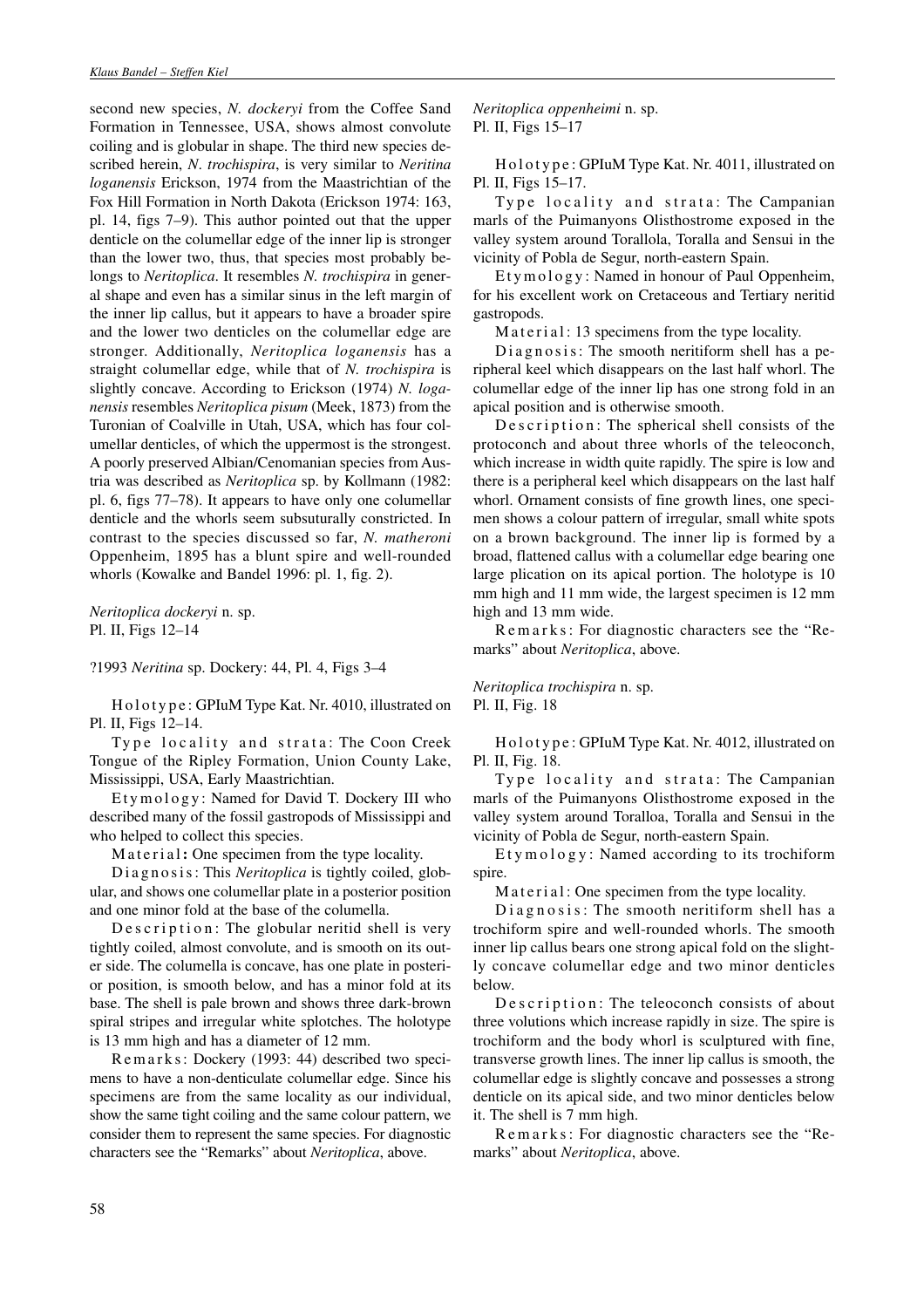second new species, *N. dockeryi* from the Coffee Sand Formation in Tennessee, USA, shows almost convolute coiling and is globular in shape. The third new species described herein, *N*. *trochispira*, is very similar to *Neritina loganensis* Erickson, 1974 from the Maastrichtian of the Fox Hill Formation in North Dakota (Erickson 1974: 163, pl. 14, figs 7–9). This author pointed out that the upper denticle on the columellar edge of the inner lip is stronger than the lower two, thus, that species most probably belongs to *Neritoplica*. It resembles *N. trochispira* in general shape and even has a similar sinus in the left margin of the inner lip callus, but it appears to have a broader spire and the lower two denticles on the columellar edge are stronger. Additionally, *Neritoplica loganensis* has a straight columellar edge, while that of *N. trochispira* is slightly concave. According to Erickson (1974) *N. loganensis* resembles *Neritoplica pisum* (Meek, 1873) from the Turonian of Coalville in Utah, USA, which has four columellar denticles, of which the uppermost is the strongest. A poorly preserved Albian/Cenomanian species from Austria was described as *Neritoplica* sp. by Kollmann (1982: pl. 6, figs 77–78). It appears to have only one columellar denticle and the whorls seem subsuturally constricted. In contrast to the species discussed so far, *N. matheroni* Oppenheim, 1895 has a blunt spire and well-rounded whorls (Kowalke and Bandel 1996: pl. 1, fig. 2).

*Neritoplica dockeryi* n. sp. Pl. II, Figs 12–14

?1993 *Neritina* sp. Dockery: 44, Pl. 4, Figs 3–4

H o l o t y p e : GPIuM Type Kat. Nr. 4010, illustrated on Pl. II, Figs 12–14.

Type locality and strata: The Coon Creek Tongue of the Ripley Formation, Union County Lake, Mississippi, USA, Early Maastrichtian.

Etymology: Named for David T. Dockery III who described many of the fossil gastropods of Mississippi and who helped to collect this species.

Material**:** One specimen from the type locality.

Diagnosis: This *Neritoplica* is tightly coiled, globular, and shows one columellar plate in a posterior position and one minor fold at the base of the columella.

De scription: The globular neritid shell is very tightly coiled, almost convolute, and is smooth on its outer side. The columella is concave, has one plate in posterior position, is smooth below, and has a minor fold at its base. The shell is pale brown and shows three dark-brown spiral stripes and irregular white splotches. The holotype is 13 mm high and has a diameter of 12 mm.

R e m a r k s : Dockery (1993: 44) described two specimens to have a non-denticulate columellar edge. Since his specimens are from the same locality as our individual, show the same tight coiling and the same colour pattern, we consider them to represent the same species. For diagnostic characters see the "Remarks" about *Neritoplica*, above.

*Neritoplica oppenheimi* n. sp. Pl. II, Figs 15–17

Holotype: GPIuM Type Kat. Nr. 4011, illustrated on Pl. II, Figs 15–17.

Type locality and strata: The Campanian marls of the Puimanyons Olisthostrome exposed in the valley system around Torallola, Toralla and Sensui in the vicinity of Pobla de Segur, north-eastern Spain.

Etymology: Named in honour of Paul Oppenheim, for his excellent work on Cretaceous and Tertiary neritid gastropods.

Material: 13 specimens from the type locality.

Diagnosis: The smooth neritiform shell has a peripheral keel which disappears on the last half whorl. The columellar edge of the inner lip has one strong fold in an apical position and is otherwise smooth.

De s c ription: The spherical shell consists of the protoconch and about three whorls of the teleoconch, which increase in width quite rapidly. The spire is low and there is a peripheral keel which disappears on the last half whorl. Ornament consists of fine growth lines, one specimen shows a colour pattern of irregular, small white spots on a brown background. The inner lip is formed by a broad, flattened callus with a columellar edge bearing one large plication on its apical portion. The holotype is 10 mm high and 11 mm wide, the largest specimen is 12 mm high and 13 mm wide.

R e m a r k s : For diagnostic characters see the "Remarks" about *Neritoplica*, above.

*Neritoplica trochispira* n. sp. Pl. II, Fig. 18

H o l o t y p e : GPIuM Type Kat. Nr. 4012, illustrated on Pl. II, Fig. 18.

Type locality and strata: The Campanian marls of the Puimanyons Olisthostrome exposed in the valley system around Toralloa, Toralla and Sensui in the vicinity of Pobla de Segur, north-eastern Spain.

Etymology: Named according to its trochiform spire.

Material: One specimen from the type locality.

 $Diagonosis: The smooth neritiform shell has a$ trochiform spire and well-rounded whorls. The smooth inner lip callus bears one strong apical fold on the slightly concave columellar edge and two minor denticles below.

Description: The teleoconch consists of about three volutions which increase rapidly in size. The spire is trochiform and the body whorl is sculptured with fine, transverse growth lines. The inner lip callus is smooth, the columellar edge is slightly concave and possesses a strong denticle on its apical side, and two minor denticles below it. The shell is 7 mm high.

R e m a r k s : For diagnostic characters see the "Remarks" about *Neritoplica*, above.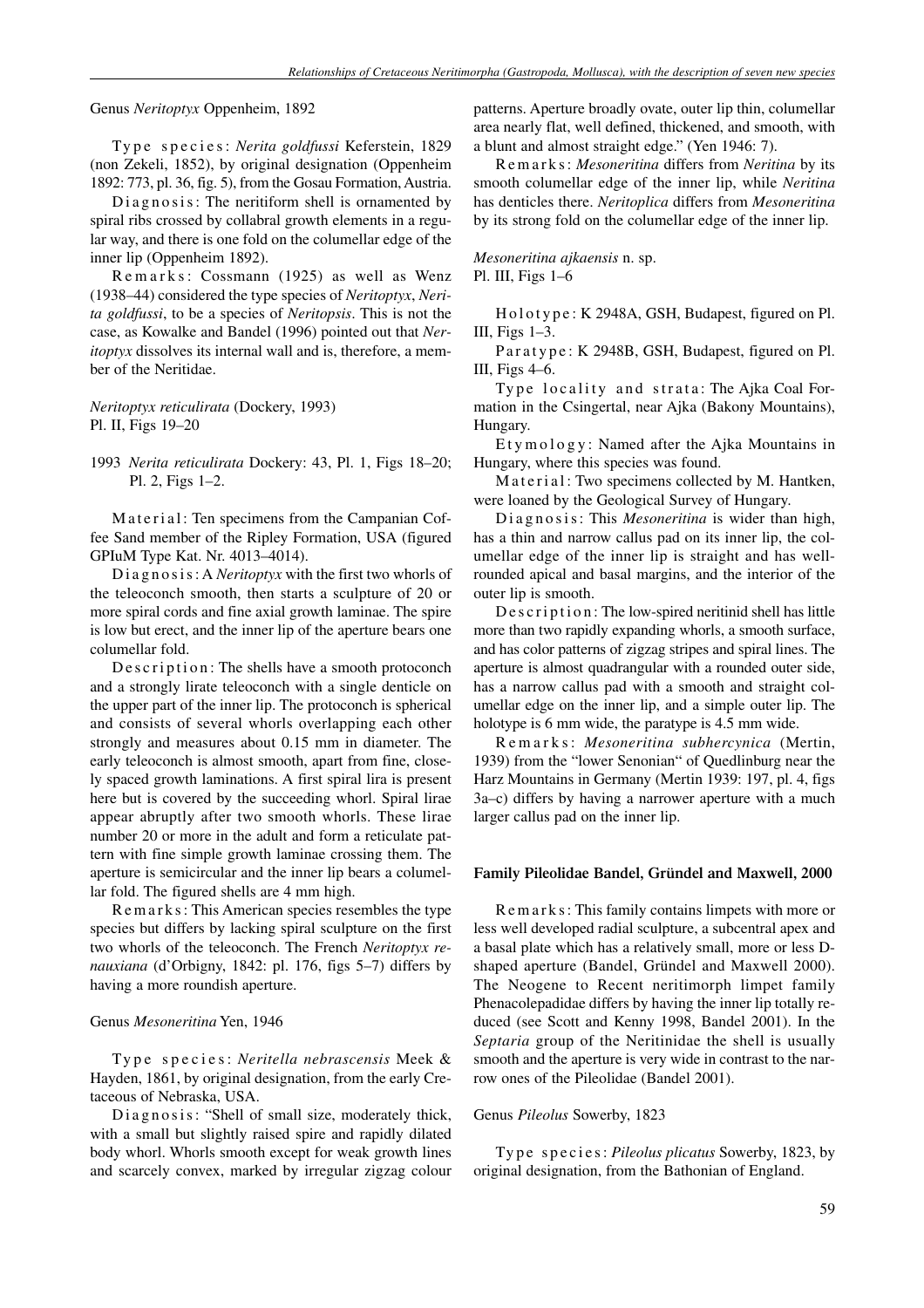Genus *Neritoptyx* Oppenheim, 1892

Type species: *Nerita goldfussi* Keferstein, 1829 (non Zekeli, 1852), by original designation (Oppenheim 1892: 773, pl. 36, fig. 5), from the Gosau Formation, Austria.

Diagnosis: The neritiform shell is ornamented by spiral ribs crossed by collabral growth elements in a regular way, and there is one fold on the columellar edge of the inner lip (Oppenheim 1892).

Remarks: Cossmann (1925) as well as Wenz (1938–44) considered the type species of *Neritoptyx*, *Nerita goldfussi*, to be a species of *Neritopsis*. This is not the case, as Kowalke and Bandel (1996) pointed out that *Neritoptyx* dissolves its internal wall and is, therefore, a member of the Neritidae.

*Neritoptyx reticulirata* (Dockery, 1993) Pl. II, Figs 19–20

1993 *Nerita reticulirata* Dockery: 43, Pl. 1, Figs 18–20; Pl. 2, Figs 1–2.

Material: Ten specimens from the Campanian Coffee Sand member of the Ripley Formation, USA (figured GPIuM Type Kat. Nr. 4013–4014).

Diagnosis: A *Neritoptyx* with the first two whorls of the teleoconch smooth, then starts a sculpture of 20 or more spiral cords and fine axial growth laminae. The spire is low but erect, and the inner lip of the aperture bears one columellar fold.

Description: The shells have a smooth protoconch and a strongly lirate teleoconch with a single denticle on the upper part of the inner lip. The protoconch is spherical and consists of several whorls overlapping each other strongly and measures about 0.15 mm in diameter. The early teleoconch is almost smooth, apart from fine, closely spaced growth laminations. A first spiral lira is present here but is covered by the succeeding whorl. Spiral lirae appear abruptly after two smooth whorls. These lirae number 20 or more in the adult and form a reticulate pattern with fine simple growth laminae crossing them. The aperture is semicircular and the inner lip bears a columellar fold. The figured shells are 4 mm high.

R e m a r k s : This American species resembles the type species but differs by lacking spiral sculpture on the first two whorls of the teleoconch. The French *Neritoptyx renauxiana* (d'Orbigny, 1842: pl. 176, figs 5–7) differs by having a more roundish aperture.

#### Genus *Mesoneritina* Yen, 1946

Type species: *Neritella nebrascensis* Meek & Hayden, 1861, by original designation, from the early Cretaceous of Nebraska, USA.

Diagnosis: "Shell of small size, moderately thick, with a small but slightly raised spire and rapidly dilated body whorl. Whorls smooth except for weak growth lines and scarcely convex, marked by irregular zigzag colour patterns. Aperture broadly ovate, outer lip thin, columellar area nearly flat, well defined, thickened, and smooth, with a blunt and almost straight edge." (Yen 1946: 7).

R e m a r k s : *Mesoneritina* differs from *Neritina* by its smooth columellar edge of the inner lip, while *Neritina* has denticles there. *Neritoplica* differs from *Mesoneritina* by its strong fold on the columellar edge of the inner lip.

*Mesoneritina ajkaensis* n. sp. Pl. III, Figs 1–6

H o l o t y p e : K 2948A, GSH, Budapest, figured on Pl. III, Figs 1–3.

Paratype: K 2948B, GSH, Budapest, figured on Pl. III, Figs 4–6.

Type locality and strata: The Ajka Coal Formation in the Csingertal, near Ajka (Bakony Mountains), Hungary.

Etymology: Named after the Ajka Mountains in Hungary, where this species was found.

Material: Two specimens collected by M. Hantken, were loaned by the Geological Survey of Hungary.

Diagnosis: This *Mesoneritina* is wider than high, has a thin and narrow callus pad on its inner lip, the columellar edge of the inner lip is straight and has wellrounded apical and basal margins, and the interior of the outer lip is smooth.

De s c r i p t i o n : The low-spired neritinid shell has little more than two rapidly expanding whorls, a smooth surface, and has color patterns of zigzag stripes and spiral lines. The aperture is almost quadrangular with a rounded outer side, has a narrow callus pad with a smooth and straight columellar edge on the inner lip, and a simple outer lip. The holotype is 6 mm wide, the paratype is 4.5 mm wide.

R e m a r k s : *Mesoneritina subhercynica* (Mertin, 1939) from the "lower Senonian" of Quedlinburg near the Harz Mountains in Germany (Mertin 1939: 197, pl. 4, figs 3a–c) differs by having a narrower aperture with a much larger callus pad on the inner lip.

# **Family Pileolidae Bandel, Gründel and Maxwell, 2000**

R e m a r k s : This family contains limpets with more or less well developed radial sculpture, a subcentral apex and a basal plate which has a relatively small, more or less Dshaped aperture (Bandel, Gründel and Maxwell 2000). The Neogene to Recent neritimorph limpet family Phenacolepadidae differs by having the inner lip totally reduced (see Scott and Kenny 1998, Bandel 2001). In the *Septaria* group of the Neritinidae the shell is usually smooth and the aperture is very wide in contrast to the narrow ones of the Pileolidae (Bandel 2001).

# Genus *Pileolus* Sowerby, 1823

Type species: Pileolus plicatus Sowerby, 1823, by original designation, from the Bathonian of England.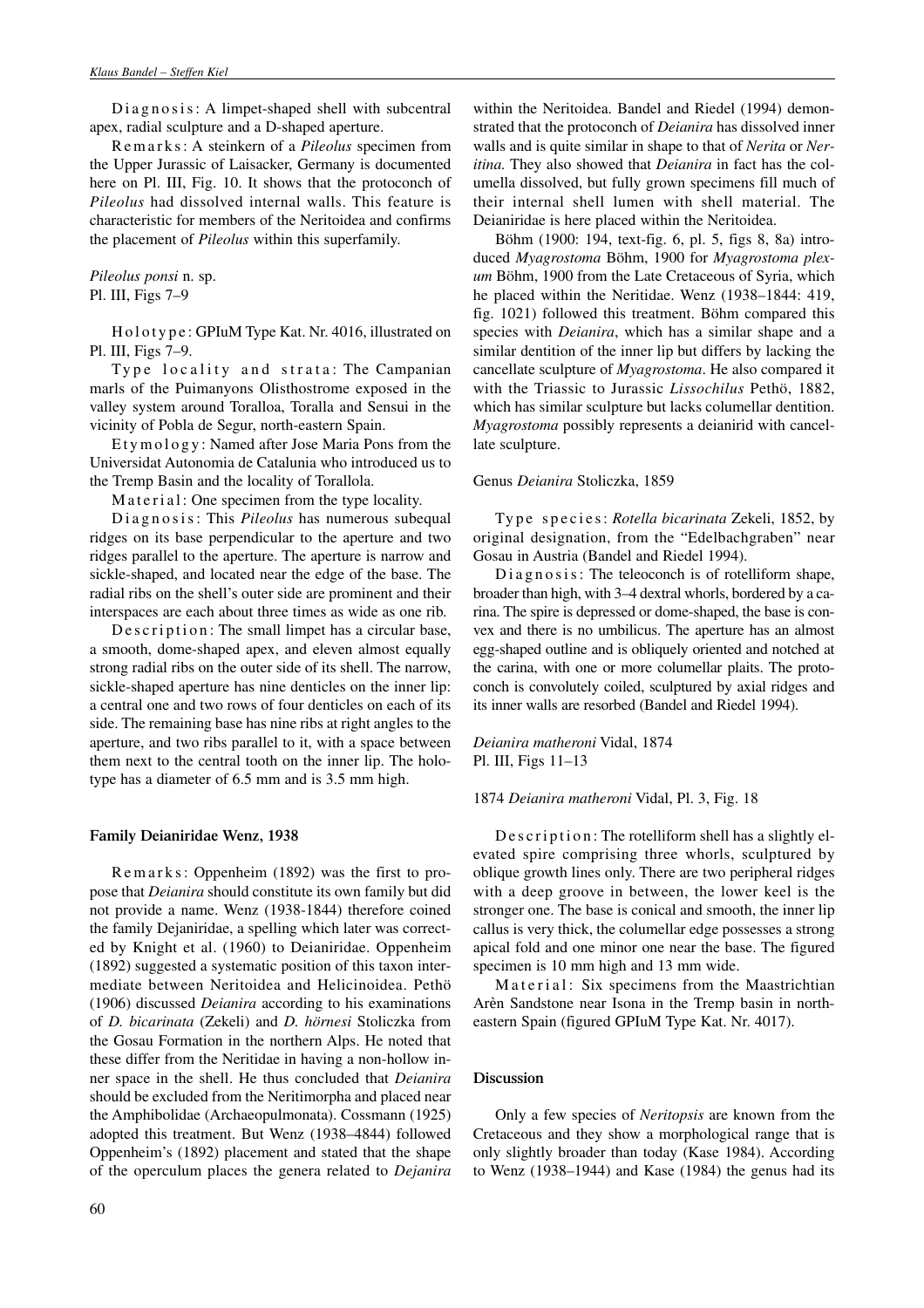Diagnosis: A limpet-shaped shell with subcentral apex, radial sculpture and a D-shaped aperture.

R e m a r k s : A steinkern of a *Pileolus* specimen from the Upper Jurassic of Laisacker, Germany is documented here on Pl. III, Fig. 10. It shows that the protoconch of *Pileolus* had dissolved internal walls. This feature is characteristic for members of the Neritoidea and confirms the placement of *Pileolus* within this superfamily.

*Pileolus ponsi* n. sp. Pl. III, Figs 7–9

H o l o t y p e : GPIuM Type Kat. Nr. 4016, illustrated on Pl. III, Figs 7–9.

Type locality and strata: The Campanian marls of the Puimanyons Olisthostrome exposed in the valley system around Toralloa, Toralla and Sensui in the vicinity of Pobla de Segur, north-eastern Spain.

Etymology: Named after Jose Maria Pons from the Universidat Autonomia de Catalunia who introduced us to the Tremp Basin and the locality of Torallola.

Material: One specimen from the type locality.

Diagnosis: This *Pileolus* has numerous subequal ridges on its base perpendicular to the aperture and two ridges parallel to the aperture. The aperture is narrow and sickle-shaped, and located near the edge of the base. The radial ribs on the shell's outer side are prominent and their interspaces are each about three times as wide as one rib.

De s c ription: The small limpet has a circular base, a smooth, dome-shaped apex, and eleven almost equally strong radial ribs on the outer side of its shell. The narrow, sickle-shaped aperture has nine denticles on the inner lip: a central one and two rows of four denticles on each of its side. The remaining base has nine ribs at right angles to the aperture, and two ribs parallel to it, with a space between them next to the central tooth on the inner lip. The holotype has a diameter of 6.5 mm and is 3.5 mm high.

#### **Family Deianiridae Wenz, 1938**

Remarks: Oppenheim (1892) was the first to propose that *Deianira* should constitute its own family but did not provide a name. Wenz (1938-1844) therefore coined the family Dejaniridae, a spelling which later was corrected by Knight et al. (1960) to Deianiridae. Oppenheim (1892) suggested a systematic position of this taxon intermediate between Neritoidea and Helicinoidea. Pethö (1906) discussed *Deianira* according to his examinations of *D. bicarinata* (Zekeli) and *D. hörnesi* Stoliczka from the Gosau Formation in the northern Alps. He noted that these differ from the Neritidae in having a non-hollow inner space in the shell. He thus concluded that *Deianira* should be excluded from the Neritimorpha and placed near the Amphibolidae (Archaeopulmonata). Cossmann (1925) adopted this treatment. But Wenz (1938–4844) followed Oppenheim's (1892) placement and stated that the shape of the operculum places the genera related to *Dejanira* within the Neritoidea. Bandel and Riedel (1994) demonstrated that the protoconch of *Deianira* has dissolved inner walls and is quite similar in shape to that of *Nerita* or *Neritina.* They also showed that *Deianira* in fact has the columella dissolved, but fully grown specimens fill much of their internal shell lumen with shell material. The Deianiridae is here placed within the Neritoidea.

Böhm (1900: 194, text-fig. 6, pl. 5, figs 8, 8a) introduced *Myagrostoma* Böhm, 1900 for *Myagrostoma plexum* Böhm, 1900 from the Late Cretaceous of Syria, which he placed within the Neritidae. Wenz (1938–1844: 419, fig. 1021) followed this treatment. Böhm compared this species with *Deianira*, which has a similar shape and a similar dentition of the inner lip but differs by lacking the cancellate sculpture of *Myagrostoma*. He also compared it with the Triassic to Jurassic *Lissochilus* Pethö, 1882, which has similar sculpture but lacks columellar dentition. *Myagrostoma* possibly represents a deianirid with cancellate sculpture.

### Genus *Deianira* Stoliczka, 1859

Type species: *Rotella bicarinata* Zekeli, 1852, by original designation, from the "Edelbachgraben" near Gosau in Austria (Bandel and Riedel 1994).

 $Diagonosis: The teleoconch is of rotelliform shape,$ broader than high, with 3–4 dextral whorls, bordered by a carina. The spire is depressed or dome-shaped, the base is convex and there is no umbilicus. The aperture has an almost egg-shaped outline and is obliquely oriented and notched at the carina, with one or more columellar plaits. The protoconch is convolutely coiled, sculptured by axial ridges and its inner walls are resorbed (Bandel and Riedel 1994).

*Deianira matheroni* Vidal, 1874 Pl. III, Figs 11–13

#### 1874 *Deianira matheroni* Vidal, Pl. 3, Fig. 18

De s c ription: The rotelliform shell has a slightly elevated spire comprising three whorls, sculptured by oblique growth lines only. There are two peripheral ridges with a deep groove in between, the lower keel is the stronger one. The base is conical and smooth, the inner lip callus is very thick, the columellar edge possesses a strong apical fold and one minor one near the base. The figured specimen is 10 mm high and 13 mm wide.

Material: Six specimens from the Maastrichtian Arèn Sandstone near Isona in the Tremp basin in northeastern Spain (figured GPIuM Type Kat. Nr. 4017).

# **Discussion**

Only a few species of *Neritopsis* are known from the Cretaceous and they show a morphological range that is only slightly broader than today (Kase 1984). According to Wenz (1938–1944) and Kase (1984) the genus had its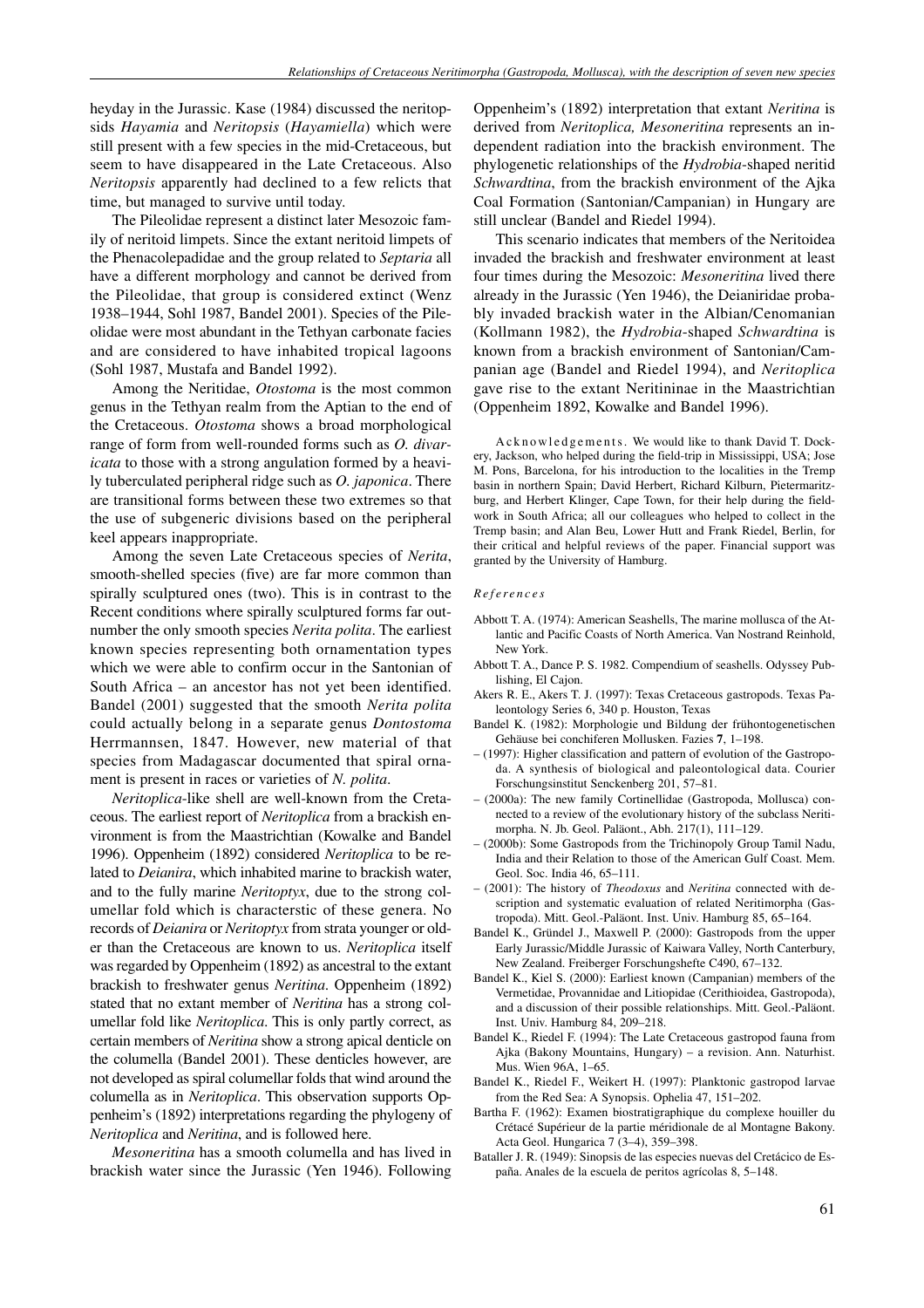heyday in the Jurassic. Kase (1984) discussed the neritopsids *Hayamia* and *Neritopsis* (*Hayamiella*) which were still present with a few species in the mid-Cretaceous, but seem to have disappeared in the Late Cretaceous. Also *Neritopsis* apparently had declined to a few relicts that time, but managed to survive until today.

The Pileolidae represent a distinct later Mesozoic family of neritoid limpets. Since the extant neritoid limpets of the Phenacolepadidae and the group related to *Septaria* all have a different morphology and cannot be derived from the Pileolidae, that group is considered extinct (Wenz 1938–1944, Sohl 1987, Bandel 2001). Species of the Pileolidae were most abundant in the Tethyan carbonate facies and are considered to have inhabited tropical lagoons (Sohl 1987, Mustafa and Bandel 1992).

Among the Neritidae, *Otostoma* is the most common genus in the Tethyan realm from the Aptian to the end of the Cretaceous. *Otostoma* shows a broad morphological range of form from well-rounded forms such as *O. divaricata* to those with a strong angulation formed by a heavily tuberculated peripheral ridge such as *O. japonica*. There are transitional forms between these two extremes so that the use of subgeneric divisions based on the peripheral keel appears inappropriate.

Among the seven Late Cretaceous species of *Nerita*, smooth-shelled species (five) are far more common than spirally sculptured ones (two). This is in contrast to the Recent conditions where spirally sculptured forms far outnumber the only smooth species *Nerita polita*. The earliest known species representing both ornamentation types which we were able to confirm occur in the Santonian of South Africa – an ancestor has not yet been identified. Bandel (2001) suggested that the smooth *Nerita polita* could actually belong in a separate genus *Dontostoma* Herrmannsen, 1847. However, new material of that species from Madagascar documented that spiral ornament is present in races or varieties of *N. polita*.

*Neritoplica*-like shell are well-known from the Cretaceous. The earliest report of *Neritoplica* from a brackish environment is from the Maastrichtian (Kowalke and Bandel 1996). Oppenheim (1892) considered *Neritoplica* to be related to *Deianira*, which inhabited marine to brackish water, and to the fully marine *Neritoptyx*, due to the strong columellar fold which is characterstic of these genera. No records of *Deianira* or *Neritoptyx* from strata younger or older than the Cretaceous are known to us. *Neritoplica* itself was regarded by Oppenheim (1892) as ancestral to the extant brackish to freshwater genus *Neritina*. Oppenheim (1892) stated that no extant member of *Neritina* has a strong columellar fold like *Neritoplica*. This is only partly correct, as certain members of *Neritina* show a strong apical denticle on the columella (Bandel 2001). These denticles however, are not developed as spiral columellar folds that wind around the columella as in *Neritoplica*. This observation supports Oppenheim's (1892) interpretations regarding the phylogeny of *Neritoplica* and *Neritina*, and is followed here.

*Mesoneritina* has a smooth columella and has lived in brackish water since the Jurassic (Yen 1946). Following Oppenheim's (1892) interpretation that extant *Neritina* is derived from *Neritoplica, Mesoneritina* represents an independent radiation into the brackish environment. The phylogenetic relationships of the *Hydrobia*-shaped neritid *Schwardtina*, from the brackish environment of the Ajka Coal Formation (Santonian/Campanian) in Hungary are still unclear (Bandel and Riedel 1994).

This scenario indicates that members of the Neritoidea invaded the brackish and freshwater environment at least four times during the Mesozoic: *Mesoneritina* lived there already in the Jurassic (Yen 1946), the Deianiridae probably invaded brackish water in the Albian/Cenomanian (Kollmann 1982), the *Hydrobia*-shaped *Schwardtina* is known from a brackish environment of Santonian/Campanian age (Bandel and Riedel 1994), and *Neritoplica* gave rise to the extant Neritininae in the Maastrichtian (Oppenheim 1892, Kowalke and Bandel 1996).

Acknowledgements. We would like to thank David T. Dockery, Jackson, who helped during the field-trip in Mississippi, USA; Jose M. Pons, Barcelona, for his introduction to the localities in the Tremp basin in northern Spain; David Herbert, Richard Kilburn, Pietermaritzburg, and Herbert Klinger, Cape Town, for their help during the fieldwork in South Africa; all our colleagues who helped to collect in the Tremp basin; and Alan Beu, Lower Hutt and Frank Riedel, Berlin, for their critical and helpful reviews of the paper. Financial support was granted by the University of Hamburg.

#### *References*

- Abbott T. A. (1974): American Seashells, The marine mollusca of the Atlantic and Pacific Coasts of North America. Van Nostrand Reinhold, New York.
- Abbott T. A., Dance P. S. 1982. Compendium of seashells. Odyssey Publishing, El Cajon.
- Akers R. E., Akers T. J. (1997): Texas Cretaceous gastropods. Texas Paleontology Series 6, 340 p. Houston, Texas
- Bandel K. (1982): Morphologie und Bildung der frühontogenetischen Gehäuse bei conchiferen Mollusken. Fazies **7**, 1–198.
- (1997): Higher classification and pattern of evolution of the Gastropoda. A synthesis of biological and paleontological data. Courier Forschungsinstitut Senckenberg 201, 57–81.
- (2000a): The new family Cortinellidae (Gastropoda, Mollusca) connected to a review of the evolutionary history of the subclass Neritimorpha. N. Jb. Geol. Paläont., Abh. 217(1), 111–129.
- (2000b): Some Gastropods from the Trichinopoly Group Tamil Nadu, India and their Relation to those of the American Gulf Coast. Mem. Geol. Soc. India 46, 65–111.
- (2001): The history of *Theodoxus* and *Neritina* connected with description and systematic evaluation of related Neritimorpha (Gastropoda). Mitt. Geol.-Paläont. Inst. Univ. Hamburg 85, 65–164.
- Bandel K., Gründel J., Maxwell P. (2000): Gastropods from the upper Early Jurassic/Middle Jurassic of Kaiwara Valley, North Canterbury, New Zealand. Freiberger Forschungshefte C490, 67–132.
- Bandel K., Kiel S. (2000): Earliest known (Campanian) members of the Vermetidae, Provannidae and Litiopidae (Cerithioidea, Gastropoda), and a discussion of their possible relationships. Mitt. Geol.-Paläont. Inst. Univ. Hamburg 84, 209–218.
- Bandel K., Riedel F. (1994): The Late Cretaceous gastropod fauna from Ajka (Bakony Mountains, Hungary) – a revision. Ann. Naturhist. Mus. Wien 96A, 1–65.
- Bandel K., Riedel F., Weikert H. (1997): Planktonic gastropod larvae from the Red Sea: A Synopsis. Ophelia 47, 151–202.
- Bartha F. (1962): Examen biostratigraphique du complexe houiller du Crétacé Supérieur de la partie méridionale de al Montagne Bakony. Acta Geol. Hungarica 7 (3–4), 359–398.
- Bataller J. R. (1949): Sinopsis de las especies nuevas del Cretácico de España. Anales de la escuela de peritos agrícolas 8, 5–148.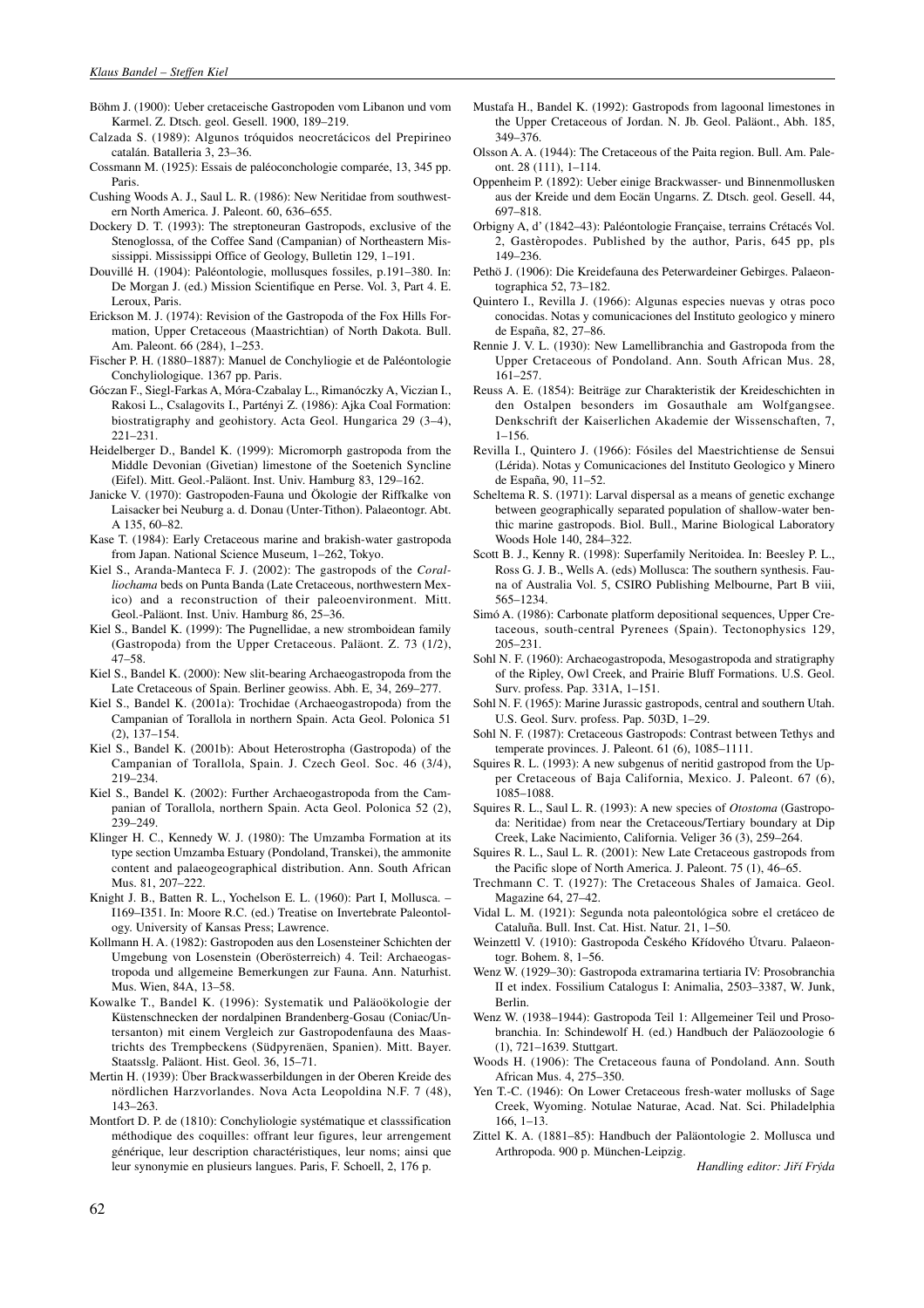- Böhm J. (1900): Ueber cretaceische Gastropoden vom Libanon und vom Karmel. Z. Dtsch. geol. Gesell. 1900, 189–219.
- Calzada S. (1989): Algunos tróquidos neocretácicos del Prepirineo catalán. Batalleria 3, 23–36.
- Cossmann M. (1925): Essais de paléoconchologie comparée, 13, 345 pp. Paris.
- Cushing Woods A. J., Saul L. R. (1986): New Neritidae from southwestern North America. J. Paleont. 60, 636–655.
- Dockery D. T. (1993): The streptoneuran Gastropods, exclusive of the Stenoglossa, of the Coffee Sand (Campanian) of Northeastern Mississippi. Mississippi Office of Geology, Bulletin 129, 1–191.
- Douvillé H. (1904): Paléontologie, mollusques fossiles, p.191–380. In: De Morgan J. (ed.) Mission Scientifique en Perse. Vol. 3, Part 4. E. Leroux, Paris.
- Erickson M. J. (1974): Revision of the Gastropoda of the Fox Hills Formation, Upper Cretaceous (Maastrichtian) of North Dakota. Bull. Am. Paleont. 66 (284), 1–253.
- Fischer P. H. (1880–1887): Manuel de Conchyliogie et de Paléontologie Conchyliologique. 1367 pp. Paris.
- Góczan F., Siegl-Farkas A, Móra-Czabalay L., Rimanóczky A, Viczian I., Rakosi L., Csalagovits I., Partényi Z. (1986): Ajka Coal Formation: biostratigraphy and geohistory. Acta Geol. Hungarica 29 (3–4), 221–231.
- Heidelberger D., Bandel K. (1999): Micromorph gastropoda from the Middle Devonian (Givetian) limestone of the Soetenich Syncline (Eifel). Mitt. Geol.-Paläont. Inst. Univ. Hamburg 83, 129–162.
- Janicke V. (1970): Gastropoden-Fauna und Ökologie der Riffkalke von Laisacker bei Neuburg a. d. Donau (Unter-Tithon). Palaeontogr. Abt. A 135, 60–82.
- Kase T. (1984): Early Cretaceous marine and brakish-water gastropoda from Japan. National Science Museum, 1–262, Tokyo.
- Kiel S., Aranda-Manteca F. J. (2002): The gastropods of the *Coralliochama* beds on Punta Banda (Late Cretaceous, northwestern Mexico) and a reconstruction of their paleoenvironment. Mitt. Geol.-Paläont. Inst. Univ. Hamburg 86, 25–36.
- Kiel S., Bandel K. (1999): The Pugnellidae, a new stromboidean family (Gastropoda) from the Upper Cretaceous. Paläont. Z. 73 (1/2), 47–58.
- Kiel S., Bandel K. (2000): New slit-bearing Archaeogastropoda from the Late Cretaceous of Spain. Berliner geowiss. Abh. E, 34, 269–277.
- Kiel S., Bandel K. (2001a): Trochidae (Archaeogastropoda) from the Campanian of Torallola in northern Spain. Acta Geol. Polonica 51 (2), 137–154.
- Kiel S., Bandel K. (2001b): About Heterostropha (Gastropoda) of the Campanian of Torallola, Spain. J. Czech Geol. Soc. 46 (3/4), 219–234.
- Kiel S., Bandel K. (2002): Further Archaeogastropoda from the Campanian of Torallola, northern Spain. Acta Geol. Polonica 52 (2), 239–249.
- Klinger H. C., Kennedy W. J. (1980): The Umzamba Formation at its type section Umzamba Estuary (Pondoland, Transkei), the ammonite content and palaeogeographical distribution. Ann. South African Mus. 81, 207–222.
- Knight J. B., Batten R. L., Yochelson E. L. (1960): Part I, Mollusca. I169–I351. In: Moore R.C. (ed.) Treatise on Invertebrate Paleontology. University of Kansas Press; Lawrence.
- Kollmann H. A. (1982): Gastropoden aus den Losensteiner Schichten der Umgebung von Losenstein (Oberösterreich) 4. Teil: Archaeogastropoda und allgemeine Bemerkungen zur Fauna. Ann. Naturhist. Mus. Wien, 84A, 13–58.
- Kowalke T., Bandel K. (1996): Systematik und Paläoökologie der Küstenschnecken der nordalpinen Brandenberg-Gosau (Coniac/Untersanton) mit einem Vergleich zur Gastropodenfauna des Maastrichts des Trempbeckens (Südpyrenäen, Spanien). Mitt. Bayer. Staatsslg. Paläont. Hist. Geol. 36, 15–71.
- Mertin H. (1939): Über Brackwasserbildungen in der Oberen Kreide des nördlichen Harzvorlandes. Nova Acta Leopoldina N.F. 7 (48), 143–263.
- Montfort D. P. de (1810): Conchyliologie systématique et classsification méthodique des coquilles: offrant leur figures, leur arrengement générique, leur description charactéristiques, leur noms; ainsi que leur synonymie en plusieurs langues. Paris, F. Schoell, 2, 176 p.
- Mustafa H., Bandel K. (1992): Gastropods from lagoonal limestones in the Upper Cretaceous of Jordan. N. Jb. Geol. Paläont., Abh. 185, 349–376.
- Olsson A. A. (1944): The Cretaceous of the Paita region. Bull. Am. Paleont. 28 (111), 1–114.
- Oppenheim P. (1892): Ueber einige Brackwasser- und Binnenmollusken aus der Kreide und dem Eocän Ungarns. Z. Dtsch. geol. Gesell. 44, 697–818.
- Orbigny A, d' (1842–43): Paléontologie Française, terrains Crétacés Vol. 2, Gastèropodes. Published by the author, Paris, 645 pp, pls 149–236.
- Pethö J. (1906): Die Kreidefauna des Peterwardeiner Gebirges. Palaeontographica 52, 73–182.
- Quintero I., Revilla J. (1966): Algunas especies nuevas y otras poco conocidas. Notas y comunicaciones del Instituto geologico y minero de España, 82, 27–86.
- Rennie J. V. L. (1930): New Lamellibranchia and Gastropoda from the Upper Cretaceous of Pondoland. Ann. South African Mus. 28, 161–257.
- Reuss A. E. (1854): Beiträge zur Charakteristik der Kreideschichten in den Ostalpen besonders im Gosauthale am Wolfgangsee. Denkschrift der Kaiserlichen Akademie der Wissenschaften, 7, 1–156.
- Revilla I., Quintero J. (1966): Fósiles del Maestrichtiense de Sensui (Lérida). Notas y Comunicaciones del Instituto Geologico y Minero de España, 90, 11–52.
- Scheltema R. S. (1971): Larval dispersal as a means of genetic exchange between geographically separated population of shallow-water benthic marine gastropods. Biol. Bull., Marine Biological Laboratory Woods Hole 140, 284–322.
- Scott B. J., Kenny R. (1998): Superfamily Neritoidea. In: Beesley P. L., Ross G. J. B., Wells A. (eds) Mollusca: The southern synthesis. Fauna of Australia Vol. 5, CSIRO Publishing Melbourne, Part B viii, 565–1234.
- Simó A. (1986): Carbonate platform depositional sequences, Upper Cretaceous, south-central Pyrenees (Spain). Tectonophysics 129, 205–231.
- Sohl N. F. (1960): Archaeogastropoda, Mesogastropoda and stratigraphy of the Ripley, Owl Creek, and Prairie Bluff Formations. U.S. Geol. Surv. profess. Pap. 331A, 1–151.
- Sohl N. F. (1965): Marine Jurassic gastropods, central and southern Utah. U.S. Geol. Surv. profess. Pap. 503D, 1–29.
- Sohl N. F. (1987): Cretaceous Gastropods: Contrast between Tethys and temperate provinces. J. Paleont. 61 (6), 1085–1111.
- Squires R. L. (1993): A new subgenus of neritid gastropod from the Upper Cretaceous of Baja California, Mexico. J. Paleont. 67 (6), 1085–1088.
- Squires R. L., Saul L. R. (1993): A new species of *Otostoma* (Gastropoda: Neritidae) from near the Cretaceous/Tertiary boundary at Dip Creek, Lake Nacimiento, California. Veliger 36 (3), 259–264.
- Squires R. L., Saul L. R. (2001): New Late Cretaceous gastropods from the Pacific slope of North America. J. Paleont. 75 (1), 46–65.
- Trechmann C. T. (1927): The Cretaceous Shales of Jamaica. Geol. Magazine 64, 27–42.
- Vidal L. M. (1921): Segunda nota paleontológica sobre el cretáceo de Cataluña. Bull. Inst. Cat. Hist. Natur. 21, 1–50.
- Weinzettl V. (1910): Gastropoda Českého Křídového Útvaru. Palaeontogr. Bohem. 8, 1–56.
- Wenz W. (1929–30): Gastropoda extramarina tertiaria IV: Prosobranchia II et index. Fossilium Catalogus I: Animalia, 2503–3387, W. Junk, Berlin.
- Wenz W. (1938–1944): Gastropoda Teil 1: Allgemeiner Teil und Prosobranchia. In: Schindewolf H. (ed.) Handbuch der Paläozoologie 6 (1), 721–1639. Stuttgart.
- Woods H. (1906): The Cretaceous fauna of Pondoland. Ann. South African Mus. 4, 275–350.
- Yen T.-C. (1946): On Lower Cretaceous fresh-water mollusks of Sage Creek, Wyoming. Notulae Naturae, Acad. Nat. Sci. Philadelphia 166, 1–13.
- Zittel K. A. (1881–85): Handbuch der Paläontologie 2. Mollusca und Arthropoda. 900 p. München-Leipzig.

*Handling editor: Jiří Frýda*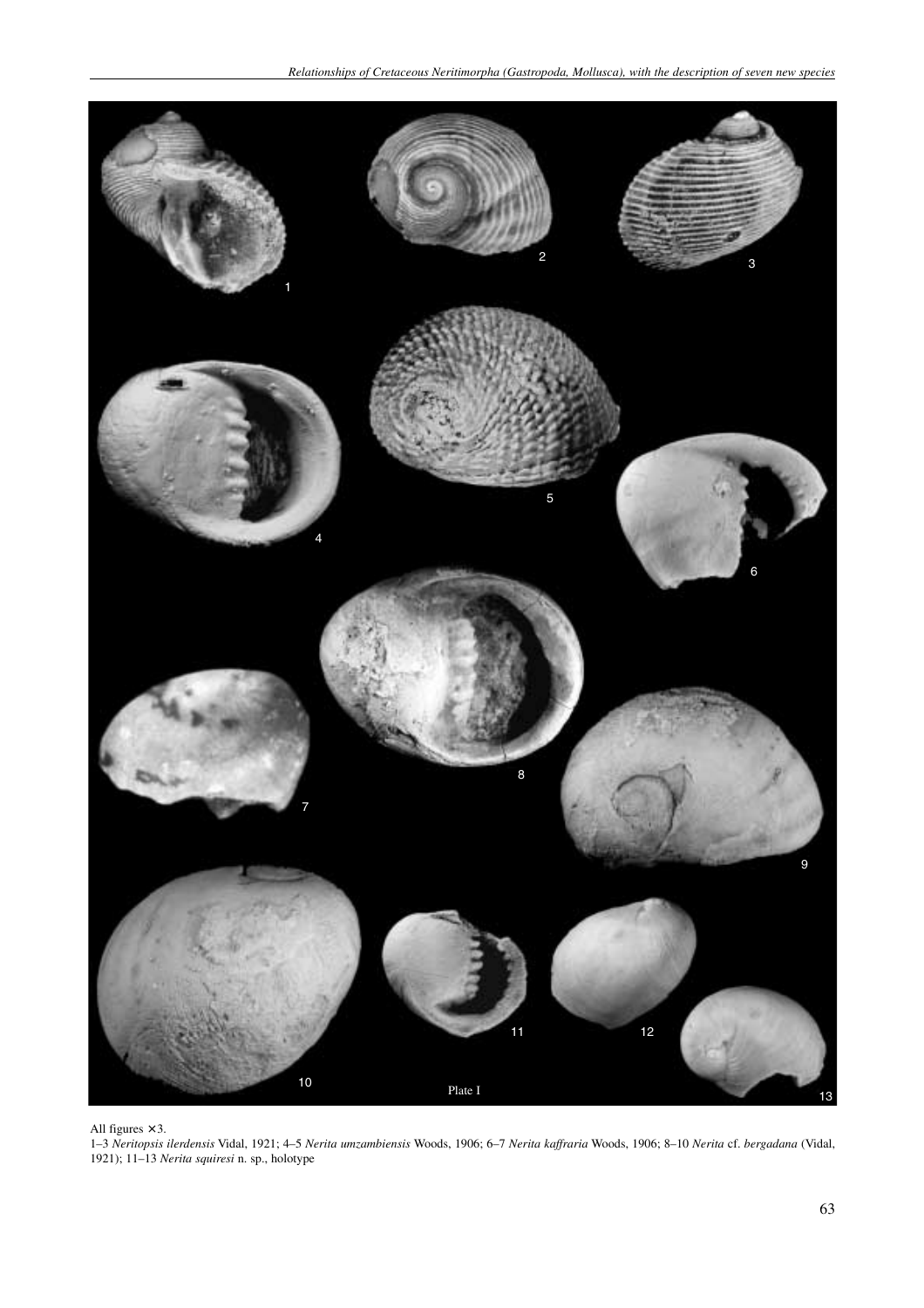

All figures  $\times$  3.

1–3 *Neritopsis ilerdensis* Vidal, 1921; 4–5 *Nerita umzambiensis* Woods, 1906; 6–7 *Nerita kaffraria* Woods, 1906; 8–10 *Nerita* cf. *bergadana* (Vidal, 1921); 11–13 *Nerita squiresi* n. sp., holotype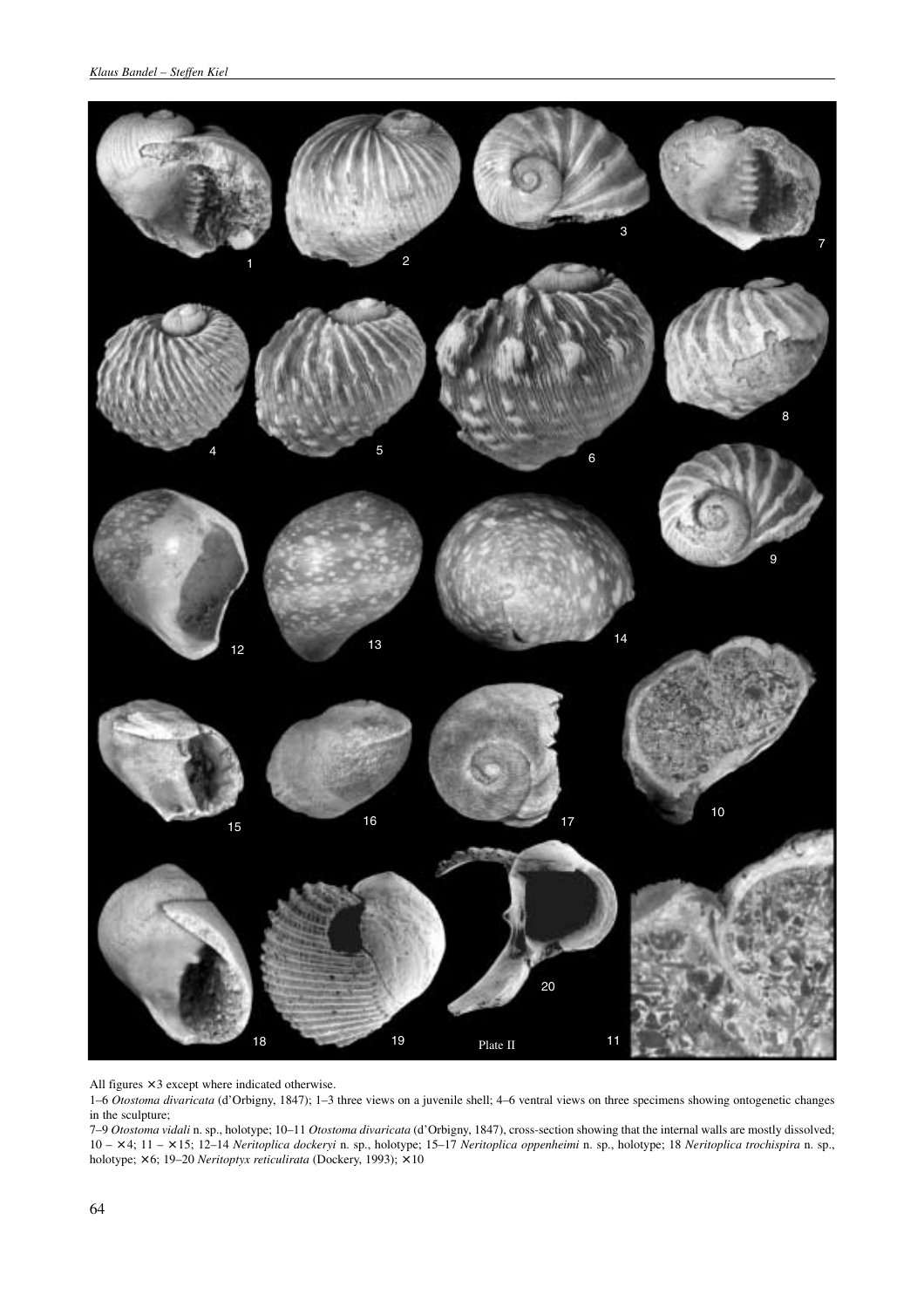

All figures  $\times$  3 except where indicated otherwise.

1–6 *Otostoma divaricata* (d'Orbigny, 1847); 1–3 three views on a juvenile shell; 4–6 ventral views on three specimens showing ontogenetic changes in the sculpture;

7–9 *Otostoma vidali* n. sp., holotype; 10–11 *Otostoma divaricata* (d'Orbigny, 1847), cross-section showing that the internal walls are mostly dissolved; 10 – × 4; 11 – × 15; 12–14 *Neritoplica dockeryi* n. sp., holotype; 15–17 *Neritoplica oppenheimi* n. sp., holotype; 18 *Neritoplica trochispira* n. sp., holotype; × 6; 19–20 *Neritoptyx reticulirata* (Dockery, 1993); × 10